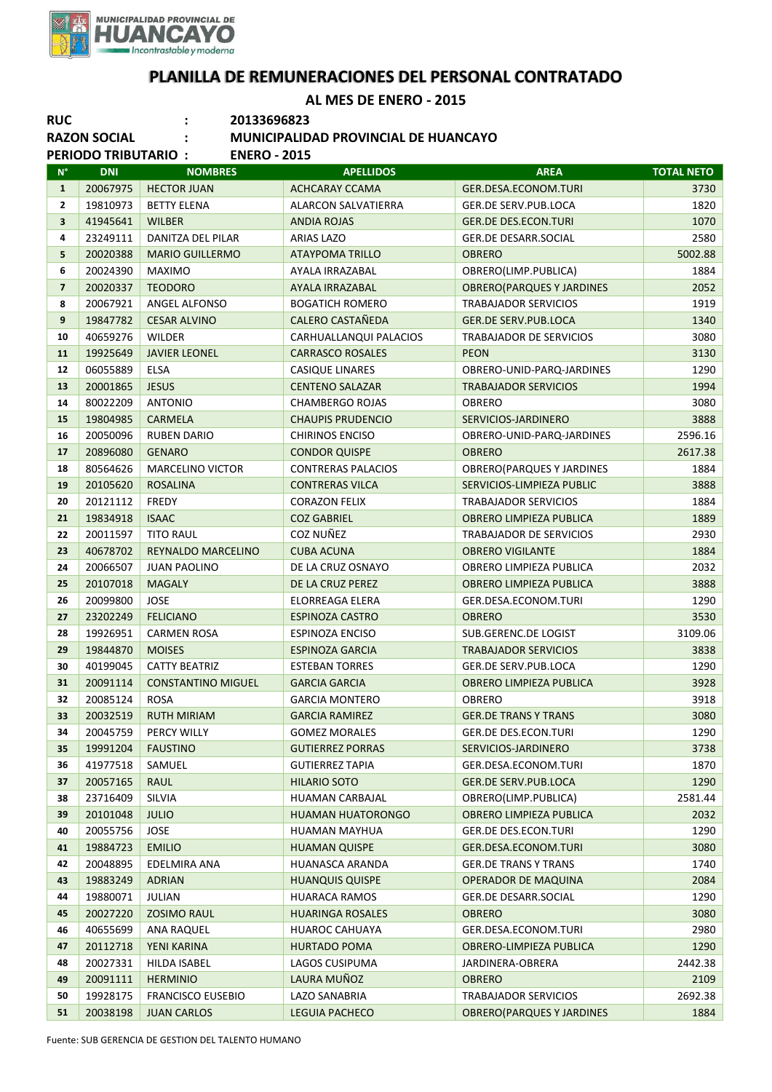

## **PLANILLA DE REMUNERACIONES DEL PERSONAL CONTRATADO**

**AL MES DE ENERO - 2015**

| AL IVILS DE LIVERU - 2013<br><b>RUC</b><br>20133696823<br><b>RAZON SOCIAL</b><br>MUNICIPALIDAD PROVINCIAL DE HUANCAYO |                            |                                           |                                      |                                              |                   |  |  |  |
|-----------------------------------------------------------------------------------------------------------------------|----------------------------|-------------------------------------------|--------------------------------------|----------------------------------------------|-------------------|--|--|--|
|                                                                                                                       | <b>PERIODO TRIBUTARIO:</b> | <b>ENERO - 2015</b>                       |                                      |                                              |                   |  |  |  |
| $N^{\circ}$                                                                                                           | <b>DNI</b>                 | <b>NOMBRES</b>                            | <b>APELLIDOS</b>                     | <b>AREA</b>                                  | <b>TOTAL NETO</b> |  |  |  |
| $\mathbf{1}$                                                                                                          | 20067975                   | <b>HECTOR JUAN</b>                        | <b>ACHCARAY CCAMA</b>                | <b>GER.DESA.ECONOM.TURI</b>                  | 3730              |  |  |  |
| 2                                                                                                                     | 19810973                   | <b>BETTY ELENA</b>                        | ALARCON SALVATIERRA                  | GER.DE SERV.PUB.LOCA                         | 1820              |  |  |  |
| 3<br>4                                                                                                                | 41945641                   | <b>WILBER</b><br><b>DANITZA DEL PILAR</b> | <b>ANDIA ROJAS</b>                   | <b>GER.DE DES.ECON.TURI</b>                  | 1070<br>2580      |  |  |  |
| 5                                                                                                                     | 23249111<br>20020388       | <b>MARIO GUILLERMO</b>                    | ARIAS LAZO<br><b>ATAYPOMA TRILLO</b> | <b>GER.DE DESARR.SOCIAL</b><br><b>OBRERO</b> | 5002.88           |  |  |  |
| 6                                                                                                                     | 20024390                   | <b>MAXIMO</b>                             | AYALA IRRAZABAL                      | OBRERO(LIMP.PUBLICA)                         | 1884              |  |  |  |
| $\overline{\mathbf{z}}$                                                                                               | 20020337                   | <b>TEODORO</b>                            | AYALA IRRAZABAL                      | <b>OBRERO(PARQUES Y JARDINES</b>             | 2052              |  |  |  |
| 8                                                                                                                     | 20067921                   | ANGEL ALFONSO                             | <b>BOGATICH ROMERO</b>               | <b>TRABAJADOR SERVICIOS</b>                  | 1919              |  |  |  |
| 9                                                                                                                     | 19847782                   | <b>CESAR ALVINO</b>                       | <b>CALERO CASTAÑEDA</b>              | <b>GER.DE SERV.PUB.LOCA</b>                  | 1340              |  |  |  |
| 10                                                                                                                    | 40659276                   | <b>WILDER</b>                             | CARHUALLANQUI PALACIOS               | TRABAJADOR DE SERVICIOS                      | 3080              |  |  |  |
| 11                                                                                                                    | 19925649                   | <b>JAVIER LEONEL</b>                      | <b>CARRASCO ROSALES</b>              | <b>PEON</b>                                  | 3130              |  |  |  |
| 12                                                                                                                    | 06055889                   | ELSA                                      | <b>CASIQUE LINARES</b>               | OBRERO-UNID-PARQ-JARDINES                    | 1290              |  |  |  |
| 13                                                                                                                    | 20001865                   | <b>JESUS</b>                              | <b>CENTENO SALAZAR</b>               | <b>TRABAJADOR SERVICIOS</b>                  | 1994              |  |  |  |
| 14                                                                                                                    | 80022209                   | <b>ANTONIO</b>                            | <b>CHAMBERGO ROJAS</b>               | <b>OBRERO</b>                                | 3080              |  |  |  |
| 15                                                                                                                    | 19804985                   | <b>CARMELA</b>                            | <b>CHAUPIS PRUDENCIO</b>             | SERVICIOS-JARDINERO                          | 3888              |  |  |  |
| 16                                                                                                                    | 20050096                   | <b>RUBEN DARIO</b>                        | <b>CHIRINOS ENCISO</b>               | OBRERO-UNID-PARQ-JARDINES                    | 2596.16           |  |  |  |
| 17                                                                                                                    | 20896080                   | <b>GENARO</b>                             | <b>CONDOR QUISPE</b>                 | <b>OBRERO</b>                                | 2617.38           |  |  |  |
| 18                                                                                                                    | 80564626                   | <b>MARCELINO VICTOR</b>                   | <b>CONTRERAS PALACIOS</b>            | <b>OBRERO(PARQUES Y JARDINES</b>             | 1884              |  |  |  |
| 19                                                                                                                    | 20105620                   | <b>ROSALINA</b>                           | <b>CONTRERAS VILCA</b>               | SERVICIOS-LIMPIEZA PUBLIC                    | 3888              |  |  |  |
| 20                                                                                                                    | 20121112                   | <b>FREDY</b>                              | <b>CORAZON FELIX</b>                 | <b>TRABAJADOR SERVICIOS</b>                  | 1884              |  |  |  |
| 21                                                                                                                    | 19834918                   | <b>ISAAC</b>                              | <b>COZ GABRIEL</b>                   | <b>OBRERO LIMPIEZA PUBLICA</b>               | 1889              |  |  |  |
| 22                                                                                                                    | 20011597                   | <b>TITO RAUL</b>                          | COZ NUÑEZ                            | <b>TRABAJADOR DE SERVICIOS</b>               | 2930              |  |  |  |
| 23                                                                                                                    | 40678702                   | REYNALDO MARCELINO                        | <b>CUBA ACUNA</b>                    | <b>OBRERO VIGILANTE</b>                      | 1884              |  |  |  |
| 24                                                                                                                    | 20066507                   | <b>JUAN PAOLINO</b>                       | DE LA CRUZ OSNAYO                    | OBRERO LIMPIEZA PUBLICA                      | 2032              |  |  |  |
| 25                                                                                                                    | 20107018                   | <b>MAGALY</b>                             | DE LA CRUZ PEREZ                     | OBRERO LIMPIEZA PUBLICA                      | 3888              |  |  |  |
| 26                                                                                                                    | 20099800                   | <b>JOSE</b>                               | ELORREAGA ELERA                      | GER.DESA.ECONOM.TURI                         | 1290              |  |  |  |
| 27                                                                                                                    | 23202249                   | <b>FELICIANO</b>                          | <b>ESPINOZA CASTRO</b>               | <b>OBRERO</b>                                | 3530              |  |  |  |
| 28                                                                                                                    | 19926951                   | <b>CARMEN ROSA</b>                        | <b>ESPINOZA ENCISO</b>               | SUB.GERENC.DE LOGIST                         | 3109.06           |  |  |  |
| 29                                                                                                                    | 19844870                   | <b>MOISES</b>                             | <b>ESPINOZA GARCIA</b>               | <b>TRABAJADOR SERVICIOS</b>                  | 3838              |  |  |  |
| 30                                                                                                                    | 40199045                   | <b>CATTY BEATRIZ</b>                      | <b>ESTEBAN TORRES</b>                | <b>GER.DE SERV.PUB.LOCA</b>                  | 1290              |  |  |  |
| 31                                                                                                                    |                            | 20091114 CONSTANTINO MIGUEL               | <b>GARCIA GARCIA</b>                 | OBRERO LIMPIEZA PUBLICA                      | 3928              |  |  |  |
| 32                                                                                                                    | 20085124                   | ROSA                                      | <b>GARCIA MONTERO</b>                | OBRERO                                       | 3918              |  |  |  |
| 33                                                                                                                    | 20032519                   | <b>RUTH MIRIAM</b>                        | <b>GARCIA RAMIREZ</b>                | <b>GER.DE TRANS Y TRANS</b>                  | 3080              |  |  |  |
| 34                                                                                                                    | 20045759                   | PERCY WILLY                               | <b>GOMEZ MORALES</b>                 | GER.DE DES.ECON.TURI                         | 1290              |  |  |  |
| 35                                                                                                                    | 19991204                   | <b>FAUSTINO</b>                           | <b>GUTIERREZ PORRAS</b>              | SERVICIOS-JARDINERO                          | 3738              |  |  |  |
| 36                                                                                                                    | 41977518                   | SAMUEL                                    | <b>GUTIERREZ TAPIA</b>               | GER.DESA.ECONOM.TURI                         | 1870              |  |  |  |
| 37                                                                                                                    | 20057165                   | <b>RAUL</b>                               | <b>HILARIO SOTO</b>                  | <b>GER.DE SERV.PUB.LOCA</b>                  | 1290              |  |  |  |
| 38                                                                                                                    | 23716409                   | SILVIA                                    | <b>HUAMAN CARBAJAL</b>               | OBRERO(LIMP.PUBLICA)                         | 2581.44           |  |  |  |
| 39                                                                                                                    | 20101048                   | <b>JULIO</b>                              | HUAMAN HUATORONGO                    | OBRERO LIMPIEZA PUBLICA                      | 2032              |  |  |  |
| 40                                                                                                                    | 20055756                   | <b>JOSE</b>                               | HUAMAN MAYHUA                        | GER.DE DES.ECON.TURI                         | 1290              |  |  |  |
| 41                                                                                                                    | 19884723                   | <b>EMILIO</b>                             | <b>HUAMAN QUISPE</b>                 | GER.DESA.ECONOM.TURI                         | 3080              |  |  |  |
| 42                                                                                                                    | 20048895                   | EDELMIRA ANA                              | HUANASCA ARANDA                      | <b>GER.DE TRANS Y TRANS</b>                  | 1740              |  |  |  |
| 43                                                                                                                    | 19883249                   | <b>ADRIAN</b>                             | <b>HUANQUIS QUISPE</b>               | <b>OPERADOR DE MAQUINA</b>                   | 2084              |  |  |  |
| 44                                                                                                                    | 19880071                   | JULIAN                                    | HUARACA RAMOS                        | <b>GER.DE DESARR.SOCIAL</b>                  | 1290              |  |  |  |
| 45                                                                                                                    | 20027220                   | <b>ZOSIMO RAUL</b>                        | <b>HUARINGA ROSALES</b>              | <b>OBRERO</b>                                | 3080              |  |  |  |
| 46                                                                                                                    | 40655699                   | <b>ANA RAQUEL</b>                         | <b>HUAROC CAHUAYA</b>                | GER.DESA.ECONOM.TURI                         | 2980              |  |  |  |
| 47                                                                                                                    | 20112718                   | YENI KARINA                               | <b>HURTADO POMA</b>                  | OBRERO-LIMPIEZA PUBLICA                      | 1290              |  |  |  |
| 48                                                                                                                    | 20027331                   | HILDA ISABEL                              | LAGOS CUSIPUMA                       | JARDINERA-OBRERA                             | 2442.38           |  |  |  |
| 49                                                                                                                    | 20091111                   | <b>HERMINIO</b>                           | LAURA MUÑOZ                          | <b>OBRERO</b>                                | 2109              |  |  |  |
| 50                                                                                                                    | 19928175                   | <b>FRANCISCO EUSEBIO</b>                  | LAZO SANABRIA                        | <b>TRABAJADOR SERVICIOS</b>                  | 2692.38           |  |  |  |
| 51                                                                                                                    | 20038198                   | <b>JUAN CARLOS</b>                        | LEGUIA PACHECO                       | <b>OBRERO (PARQUES Y JARDINES</b>            | 1884              |  |  |  |